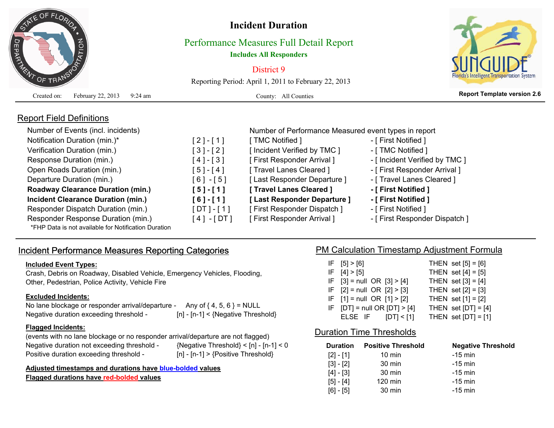

Report Field Definitions

# **Incident Duration**

## Performance Measures Full Detail Report **Includes All Responders**

District 9

Reporting Period: April 1, 2011 to February 22, 2013

Created on: February 22, 2013 9:24 am



**Report Template version 2.6** County: All Counties

| Number of Events (incl. incidents)        |              | Number of Performance Measured event types in report |                                |  |  |  |  |  |  |
|-------------------------------------------|--------------|------------------------------------------------------|--------------------------------|--|--|--|--|--|--|
| Notification Duration (min.)*             | $[2] - [1]$  | [TMC Notified ]                                      | - [ First Notified ]           |  |  |  |  |  |  |
| Verification Duration (min.)              | $[3]-[2]$    | [ Incident Verified by TMC ]                         | - [ TMC Notified ]             |  |  |  |  |  |  |
| Response Duration (min.)                  | $[4] - [3]$  | [First Responder Arrival]                            | - [ Incident Verified by TMC ] |  |  |  |  |  |  |
| Open Roads Duration (min.)                | $[5] - [4]$  | [ Travel Lanes Cleared ]                             | - [ First Responder Arrival ]  |  |  |  |  |  |  |
| Departure Duration (min.)                 | $[6] - [5]$  | [Last Responder Departure]                           | - [ Travel Lanes Cleared ]     |  |  |  |  |  |  |
| <b>Roadway Clearance Duration (min.)</b>  | $[5] - [1]$  | [ Travel Lanes Cleared ]                             | - [ First Notified ]           |  |  |  |  |  |  |
| <b>Incident Clearance Duration (min.)</b> | $[6] - [1]$  | [Last Responder Departure]                           | - [ First Notified ]           |  |  |  |  |  |  |
| Responder Dispatch Duration (min.)        | $[DT] - [1]$ | <b>First Responder Dispatch 1</b>                    | - [ First Notified ]           |  |  |  |  |  |  |
| Responder Response Duration (min.)        | [4] - [DT]   | [First Responder Arrival]                            | - [ First Responder Dispatch ] |  |  |  |  |  |  |

\*FHP Data is not available for Notification Duration

## Incident Performance Measures Reporting Categories **PM Calculation Timestamp Adjustment Formula**

#### **Included Event Types:**

Crash, Debris on Roadway, Disabled Vehicle, Emergency Vehicles, Flooding, Other, Pedestrian, Police Activity, Vehicle Fire

### **Excluded Incidents:**

No lane blockage or responder arrival/departure - Any of  $\{4, 5, 6\}$  = NULL Negative duration exceeding threshold - [n] - [n-1] < {Negative Threshold}

#### **Flagged Incidents:**

(events with no lane blockage or no responder arrival/departure are not flagged) Negative duration not exceeding threshold - {Negative Threshold} < [n] - [n-1] < 0 Positive duration exceeding threshold - [n] - [n-1] > {Positive Threshold}

**Adjusted timestamps and durations have blue-bolded values**

**Flagged durations have red-bolded values**

| IF [5] > [6]                     | THEN set $[5] = [6]$  |
|----------------------------------|-----------------------|
| F [4] > [5]                      | THEN set $[4] = [5]$  |
| IF $[3]$ = null OR $[3]$ > [4]   | THEN set $[3] = [4]$  |
| IF $[2] = null OR [2] > [3]$     | THEN set $[2] = [3]$  |
| IF $[1]$ = null OR $[1]$ > $[2]$ | THEN set $[1] = [2]$  |
| IF $[DT] = null OR [DT] > [4]$   | THEN set $[DT] = [4]$ |
| ELSE IF $[DT] < [1]$             | THEN set $[DT] = [1]$ |

## Duration Time Thresholds

| <b>Duration</b> | <b>Positive Threshold</b> | <b>Negative Threshold</b> |
|-----------------|---------------------------|---------------------------|
| $[2] - [1]$     | $10 \text{ min}$          | $-15$ min                 |
| $[3] - [2]$     | 30 min                    | $-15$ min                 |
| $[4] - [3]$     | 30 min                    | $-15$ min                 |
| $[5] - [4]$     | $120 \text{ min}$         | $-15$ min                 |
| $[6] - [5]$     | 30 min                    | $-15$ min                 |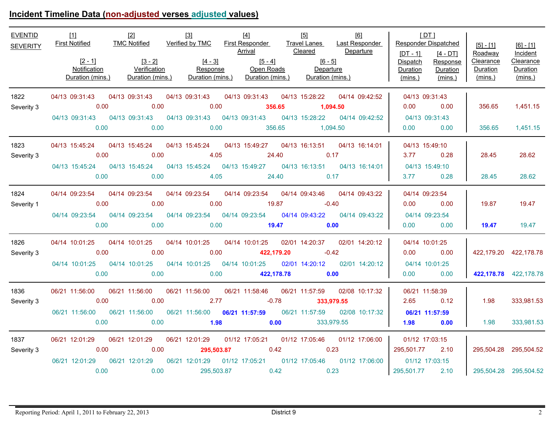# **Incident Timeline Data (non-adjusted verses adjusted values)**

| <b>EVENTID</b><br><b>SEVERITY</b> | $[2 - 1]$<br>Notification                                                                                      |      | $[3-2]$ $[4-3]$ $[5-4]$ $[6-5]$<br>Verification Response Open Roads Departure<br>Duration (mins.) Duration (mins.) Duration (mins.) Duration (mins.) Duration (mins.) |             |                   |                   |                | Arrival Cleared Departure         | [DT]<br><b>Responder Dispatched</b><br>$[DT - 1]$<br>Dispatch<br>Duration<br>(mins.) | $[4 - DT]$<br>Response<br>Duration<br>(mins.) | $[5] - [1]$<br>Roadway<br>Clearance<br>Duration<br>(mins.) | $[6] - [1]$<br>Incident<br>Clearance<br>Duration<br>(mins.) |
|-----------------------------------|----------------------------------------------------------------------------------------------------------------|------|-----------------------------------------------------------------------------------------------------------------------------------------------------------------------|-------------|-------------------|-------------------|----------------|-----------------------------------|--------------------------------------------------------------------------------------|-----------------------------------------------|------------------------------------------------------------|-------------------------------------------------------------|
| 1822                              | 04/13 09:31:43 04/13 09:31:43 04/13 09:31:43 04/13 09:31:43 04/13 15:28:22 04/14 09:42:52                      |      |                                                                                                                                                                       |             |                   |                   |                |                                   | 04/13 09:31:43                                                                       |                                               |                                                            |                                                             |
| Severity 3                        | 0.00                                                                                                           |      | 0.00                                                                                                                                                                  | 0.00        |                   | 356.65            |                | 1,094.50                          | 0.00                                                                                 | 0.00                                          | 356.65                                                     | 1,451.15                                                    |
|                                   | 04/13 09:31:43   04/13 09:31:43   04/13 09:31:43   04/13 09:31:43                                              |      |                                                                                                                                                                       |             |                   |                   |                | 04/13 15:28:22   04/14   09:42:52 | 04/13 09:31:43                                                                       |                                               |                                                            |                                                             |
|                                   | 0.00                                                                                                           |      | 0.00                                                                                                                                                                  | 0.00        |                   | 356.65            | 1,094.50       |                                   | 0.00                                                                                 | 0.00                                          | 356.65                                                     | 1,451.15                                                    |
| 1823                              | 04/13 15:45:24  04/13 15:45:24  04/13 15:45:24  04/13 15:49:27  04/13 16:13:51  04/13 16:14:01                 |      |                                                                                                                                                                       |             |                   |                   |                |                                   | 04/13 15:49:10                                                                       |                                               |                                                            |                                                             |
| Severity 3                        |                                                                                                                | 0.00 | 0.00                                                                                                                                                                  | 4.05        |                   | 24.40             |                | 0.17                              | 3.77 0.28                                                                            |                                               | 28.45                                                      | 28.62                                                       |
|                                   | 04/13 15:45:24  04/13 15:45:24  04/13 15:45:24  04/13 15:49:27  04/13 16:13:51  04/13 16:14:01                 |      |                                                                                                                                                                       |             |                   |                   |                |                                   | 04/13 15:49:10                                                                       |                                               |                                                            |                                                             |
|                                   |                                                                                                                | 0.00 |                                                                                                                                                                       |             |                   |                   |                | 0.00 4.05 24.40 0.17              | 3.77 0.28                                                                            |                                               | 28.45                                                      | 28.62                                                       |
| 1824                              | 04/14 09:23:54 04/14 09:23:54 04/14 09:23:54 04/14 09:23:54 04/14 09:43:46 04/14 09:43:22                      |      |                                                                                                                                                                       |             |                   |                   |                |                                   | 04/14 09:23:54                                                                       |                                               |                                                            |                                                             |
| Severity 1                        | $\sim$ 0.00                                                                                                    |      | $\sim$ 0.00                                                                                                                                                           | $\sim$ 0.00 | 19.87             |                   | $-0.40$        |                                   | $0.00$ 0.00                                                                          |                                               | 19.87 — 19.7                                               | 19.47                                                       |
|                                   | 04/14 09:23:54 04/14 09:23:54 04/14 09:23:54 04/14 09:23:54 04/14 09:43:22 04/14 09:43:22                      |      |                                                                                                                                                                       |             |                   |                   |                |                                   | 04/14 09:23:54                                                                       |                                               |                                                            |                                                             |
|                                   |                                                                                                                | 0.00 | 0.00                                                                                                                                                                  | $\sim$ 0.00 |                   | 19.47 0.00        |                |                                   | $0.00$ 0.00                                                                          |                                               | 19.47                                                      | 19.47                                                       |
| 1826                              | 04/14 10:01:25  04/14 10:01:25  04/14 10:01:25  04/14 10:01:25  02/01 14:20:37  02/01 14:20:12                 |      |                                                                                                                                                                       |             |                   |                   |                |                                   | 04/14 10:01:25                                                                       |                                               |                                                            |                                                             |
| Severity 3                        | 0.00                                                                                                           |      | 0.00                                                                                                                                                                  |             | $0.00$ 422,179.20 |                   |                | $-0.42$                           | $0.00$ 0.00                                                                          |                                               | 422,179.20 422,178.78                                      |                                                             |
|                                   | 04/14 10:01:25 04/14 10:01:25 04/14 10:01:25 04/14 10:01:25 02/01 14:20:12 02/01 14:20:12 04/14 10:01:25       |      |                                                                                                                                                                       |             |                   |                   |                |                                   |                                                                                      |                                               |                                                            |                                                             |
|                                   | 0.00                                                                                                           |      | 0.00                                                                                                                                                                  | 0.00        |                   | 422,178.78 0.00   |                |                                   | $0.00$ 0.00                                                                          |                                               |                                                            | 422,178.78 422,178.78                                       |
| 1836                              | 06/21 11:56:00  06/21 11:56:00  06/21 11:56:00  06/21 11:58:46  06/21 11:57:59  02/08  10:17:32                |      |                                                                                                                                                                       |             |                   |                   |                |                                   | 06/21 11:58:39                                                                       |                                               |                                                            |                                                             |
| Severity 3                        | 0.00                                                                                                           |      | $\sim$ 0.00                                                                                                                                                           | 2.77        | $-0.78$           |                   |                | 333,979.55                        | 2.65 0.12                                                                            |                                               | 1.98                                                       | 333,981.53                                                  |
|                                   | 06/21 11:56:00  06/21 11:56:00  06/21 11:56:00  06/21 11:57:59                                                 |      |                                                                                                                                                                       |             |                   |                   | 06/21 11:57:59 |                                   | 02/08 10:17:32    06/21 11:57:59                                                     |                                               |                                                            |                                                             |
|                                   | 0.00                                                                                                           |      | 0.00                                                                                                                                                                  | $\sim$ 1.98 |                   | $0.00$ 333,979.55 |                |                                   | $1.98$ 0.00                                                                          |                                               | 1.98                                                       | 333,981.53                                                  |
| 1837                              | 06/21 12:01:29  06/21 12:01:29  06/21 12:01:29  01/12 17:05:21  01/12 17:05:46  01/12 17:06:00  01/12 17:03:15 |      |                                                                                                                                                                       |             |                   |                   |                |                                   |                                                                                      |                                               |                                                            |                                                             |
| Severity 3                        |                                                                                                                | 0.00 | 0.00                                                                                                                                                                  | 295,503.87  |                   | 0.42              |                | 0.23                              | 295,501.77 2.10                                                                      |                                               | 295,504.28 295,504.52                                      |                                                             |
|                                   | 06/21 12:01:29 06/21 12:01:29 06/21 12:01:29 01/12 17:05:21 01/12 17:05:46 01/12 17:06:00 01/12 17:03:15       |      |                                                                                                                                                                       |             |                   |                   |                |                                   |                                                                                      |                                               |                                                            |                                                             |
|                                   | 0.00                                                                                                           |      | 0.00                                                                                                                                                                  | 295,503.87  | 0.42              |                   | 0.23           |                                   | 295,501.77 2.10                                                                      |                                               | 295,504.28 295,504.52                                      |                                                             |